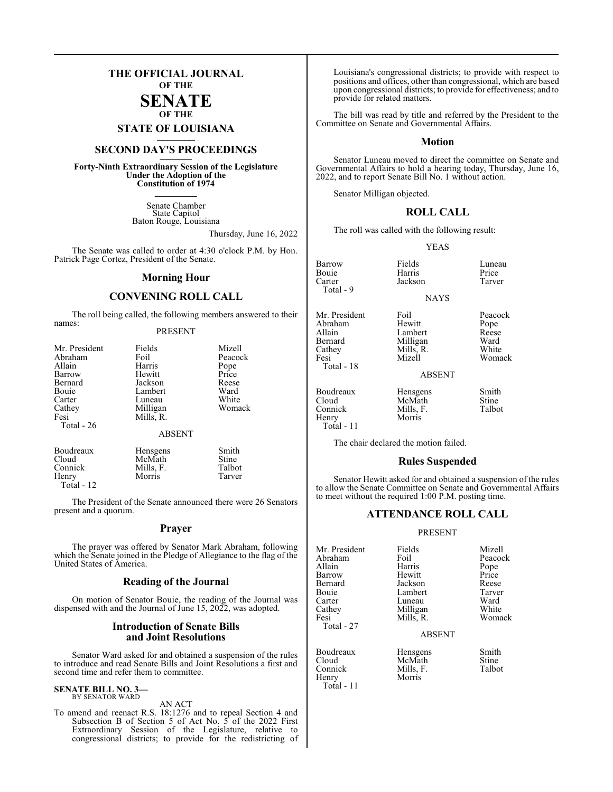## **THE OFFICIAL JOURNAL OF THE SENATE**

# **OF THE**

**STATE OF LOUISIANA \_\_\_\_\_\_\_**

# **SECOND DAY'S PROCEEDINGS \_\_\_\_\_\_\_**

**Forty-Ninth Extraordinary Session of the Legislature Under the Adoption of the Constitution of 1974 \_\_\_\_\_\_\_**

> Senate Chamber State Capitol Baton Rouge, Louisiana

> > Thursday, June 16, 2022

The Senate was called to order at 4:30 o'clock P.M. by Hon. Patrick Page Cortez, President of the Senate.

#### **Morning Hour**

#### **CONVENING ROLL CALL**

The roll being called, the following members answered to their names:

#### PRESENT

| Mr. President<br>Abraham<br>Allain<br>Barrow<br>Bernard<br>Bouie<br>Carter<br>Cathey<br>Fesi<br>Total - 26 | Fields<br>Foil<br>Harris<br>Hewitt<br>Jackson<br>Lambert<br>Luneau<br>Milligan<br>Mills, R.<br><b>ABSENT</b> | Mizell<br>Peacock<br>Pope<br>Price<br>Reese<br>Ward<br>White<br>Womack |
|------------------------------------------------------------------------------------------------------------|--------------------------------------------------------------------------------------------------------------|------------------------------------------------------------------------|
| Boudreaux                                                                                                  | Hensgens                                                                                                     | Smith                                                                  |
| Cloud                                                                                                      | McMath                                                                                                       | Stine                                                                  |
| Connick                                                                                                    | Mills, F.                                                                                                    | Talbot                                                                 |
| Henry                                                                                                      | Morris                                                                                                       | Tarver                                                                 |

Total - 12

The President of the Senate announced there were 26 Senators present and a quorum.

#### **Prayer**

The prayer was offered by Senator Mark Abraham, following which the Senate joined in the Pledge of Allegiance to the flag of the United States of America.

#### **Reading of the Journal**

On motion of Senator Bouie, the reading of the Journal was dispensed with and the Journal of June 15, 2022, was adopted.

#### **Introduction of Senate Bills and Joint Resolutions**

Senator Ward asked for and obtained a suspension of the rules to introduce and read Senate Bills and Joint Resolutions a first and second time and refer them to committee.

#### **SENATE BILL NO. 3—** BY SENATOR WARD

AN ACT

To amend and reenact R.S. 18:1276 and to repeal Section 4 and Subsection B of Section 5 of Act No. 5 of the 2022 First Extraordinary Session of the Legislature, relative to congressional districts; to provide for the redistricting of Louisiana's congressional districts; to provide with respect to positions and offices, other than congressional, which are based upon congressional districts; to provide for effectiveness; and to provide for related matters.

The bill was read by title and referred by the President to the Committee on Senate and Governmental Affairs.

#### **Motion**

Senator Luneau moved to direct the committee on Senate and Governmental Affairs to hold a hearing today, Thursday, June 16, 2022, and to report Senate Bill No. 1 without action.

Senator Milligan objected.

#### **ROLL CALL**

The roll was called with the following result:

#### YEAS

NAYS

Barrow Fields Luneau<br>
Bouie Harris Price Bouie Harris Price Carter Jackson Tarver Total - 9

Mr. President Foil Peacock<br>Abraham Hewitt Pope Abraham Hewitt Pope<br>Allain Lambert Reese Allain 1920 Lambert 1921 Reese<br>1921 Bernard 1921 Milligan Bernard Milligan Ward<br>Cathey Mills, R. White Cathey Mills, R.<br>Fesi Mizell Total - 18

Boudreaux Hensgens Smith<br>Cloud McMath Stine Cloud McMath Stine<br>
Connick Mills, F. Talbot Henry Total - 11

Womack

ABSENT

The chair declared the motion failed.

Mills, F.<br>Morris

#### **Rules Suspended**

Senator Hewitt asked for and obtained a suspension of the rules to allow the Senate Committee on Senate and Governmental Affairs to meet without the required 1:00 P.M. posting time.

#### **ATTENDANCE ROLL CALL**

#### PRESENT

| Mr. President | Fields    | Mizell        |
|---------------|-----------|---------------|
| Abraham       | Foil      | Peacock       |
| Allain        | Harris    |               |
| Barrow        | Hewitt    | Pope<br>Price |
| Bernard       | Jackson   | Reese         |
| Bouie         | Lambert   | Tarver        |
| Carter        | Luneau    | Ward          |
| Cathey        | Milligan  | White         |
| Fesi          | Mills, R. | Womack        |
| Total - 27    |           |               |

Henry

Mills, F.<br>Morris

ABSENT

Boudreaux Hensgens Smith<br>Cloud McMath Stine Cloud McMath Stine<br>Connick Mills F. Talbot Total - 11